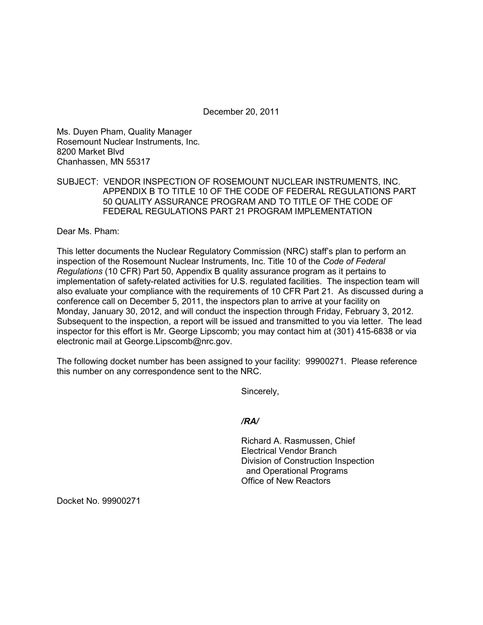December 20, 2011

Ms. Duyen Pham, Quality Manager Rosemount Nuclear Instruments, Inc. 8200 Market Blvd Chanhassen, MN 55317

## SUBJECT: VENDOR INSPECTION OF ROSEMOUNT NUCLEAR INSTRUMENTS, INC. APPENDIX B TO TITLE 10 OF THE CODE OF FEDERAL REGULATIONS PART 50 QUALITY ASSURANCE PROGRAM AND TO TITLE OF THE CODE OF FEDERAL REGULATIONS PART 21 PROGRAM IMPLEMENTATION

Dear Ms. Pham:

This letter documents the Nuclear Regulatory Commission (NRC) staff's plan to perform an inspection of the Rosemount Nuclear Instruments, Inc. Title 10 of the *Code of Federal Regulations* (10 CFR) Part 50, Appendix B quality assurance program as it pertains to implementation of safety-related activities for U.S. regulated facilities. The inspection team will also evaluate your compliance with the requirements of 10 CFR Part 21. As discussed during a conference call on December 5, 2011, the inspectors plan to arrive at your facility on Monday, January 30, 2012, and will conduct the inspection through Friday, February 3, 2012. Subsequent to the inspection, a report will be issued and transmitted to you via letter. The lead inspector for this effort is Mr. George Lipscomb; you may contact him at (301) 415-6838 or via electronic mail at George.Lipscomb@nrc.gov.

The following docket number has been assigned to your facility: 99900271. Please reference this number on any correspondence sent to the NRC.

Sincerely,

# */RA/*

Richard A. Rasmussen, Chief Electrical Vendor Branch Division of Construction Inspection and Operational Programs Office of New Reactors

Docket No. 99900271